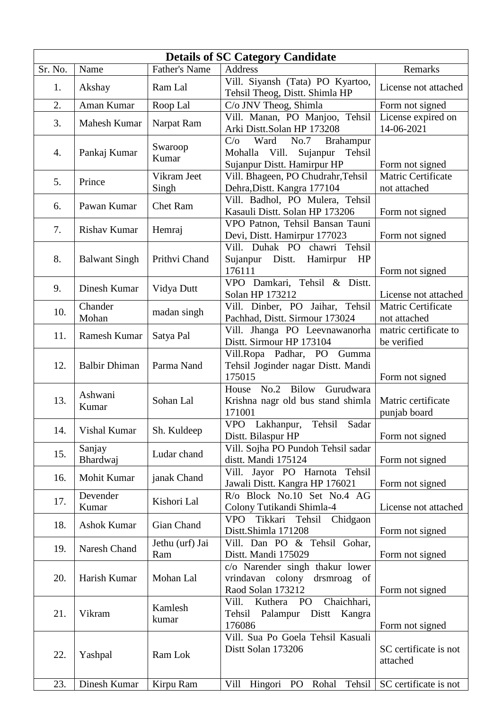| <b>Details of SC Category Candidate</b> |                      |                        |                                                                                                        |                                      |
|-----------------------------------------|----------------------|------------------------|--------------------------------------------------------------------------------------------------------|--------------------------------------|
| Sr. No.                                 | Name                 | <b>Father's Name</b>   | <b>Address</b>                                                                                         | Remarks                              |
| 1.                                      | Akshay               | Ram Lal                | Vill. Siyansh (Tata) PO Kyartoo,<br>Tehsil Theog, Distt. Shimla HP                                     | License not attached                 |
| 2.                                      | Aman Kumar           | Roop Lal               | C/o JNV Theog, Shimla                                                                                  | Form not signed                      |
| 3.                                      | Mahesh Kumar         | Narpat Ram             | Vill. Manan, PO Manjoo, Tehsil<br>Arki Distt.Solan HP 173208                                           | License expired on<br>14-06-2021     |
| 4.                                      | Pankaj Kumar         | Swaroop<br>Kumar       | Ward<br>No.7<br>Brahampur<br>C/O<br>Mohalla Vill.<br>Sujanpur<br>Tehsil<br>Sujanpur Distt. Hamirpur HP | Form not signed                      |
| 5.                                      | Prince               | Vikram Jeet<br>Singh   | Vill. Bhageen, PO Chudrahr, Tehsil<br>Dehra, Distt. Kangra 177104                                      | Matric Certificate<br>not attached   |
| 6.                                      | Pawan Kumar          | <b>Chet Ram</b>        | Vill. Badhol, PO Mulera, Tehsil<br>Kasauli Distt. Solan HP 173206                                      | Form not signed                      |
| 7.                                      | <b>Rishav Kumar</b>  | Hemraj                 | VPO Patnon, Tehsil Bansan Tauni<br>Devi, Distt. Hamirpur 177023                                        | Form not signed                      |
| 8.                                      | <b>Balwant Singh</b> | Prithvi Chand          | Vill. Duhak PO chawri Tehsil<br>Sujanpur Distt.<br>HP<br>Hamirpur<br>176111                            | Form not signed                      |
| 9.                                      | Dinesh Kumar         | Vidya Dutt             | VPO Damkari, Tehsil & Distt.<br>Solan HP 173212                                                        | License not attached                 |
| 10.                                     | Chander<br>Mohan     | madan singh            | Vill. Dinber, PO Jaihar, Tehsil<br>Pachhad, Distt. Sirmour 173024                                      | Matric Certificate<br>not attached   |
| 11.                                     | Ramesh Kumar         | Satya Pal              | Vill. Jhanga PO Leevnawanorha<br>Distt. Sirmour HP 173104                                              | matric certificate to<br>be verified |
| 12.                                     | <b>Balbir Dhiman</b> | Parma Nand             | Vill.Ropa Padhar, PO Gumma<br>Tehsil Joginder nagar Distt. Mandi<br>175015                             | Form not signed                      |
| 13.                                     | Ashwani<br>Kumar     | Sohan Lal              | House No.2 Bilow<br>Gurudwara<br>Krishna nagr old bus stand shimla<br>171001                           | Matric certificate<br>punjab board   |
| 14.                                     | Vishal Kumar         | Sh. Kuldeep            | Tehsil<br>VPO Lakhanpur,<br>Sadar<br>Distt. Bilaspur HP                                                | Form not signed                      |
| 15.                                     | Sanjay<br>Bhardwaj   | Ludar chand            | Vill. Sojha PO Pundoh Tehsil sadar<br>distt. Mandi 175124                                              | Form not signed                      |
| 16.                                     | Mohit Kumar          | janak Chand            | Vill. Jayor PO Harnota Tehsil<br>Jawali Distt. Kangra HP 176021                                        | Form not signed                      |
| 17.                                     | Devender<br>Kumar    | Kishori Lal            | R/o Block No.10 Set No.4 AG<br>Colony Tutikandi Shimla-4                                               | License not attached                 |
| 18.                                     | <b>Ashok Kumar</b>   | Gian Chand             | VPO Tikkari Tehsil<br>Chidgaon<br>Distt.Shimla 171208                                                  | Form not signed                      |
| 19.                                     | Naresh Chand         | Jethu (urf) Jai<br>Ram | Vill. Dan PO & Tehsil Gohar,<br>Distt. Mandi 175029                                                    | Form not signed                      |
| 20.                                     | Harish Kumar         | Mohan Lal              | c/o Narender singh thakur lower<br>vrindavan colony drsmroag of<br>Raod Solan 173212                   | Form not signed                      |
| 21.                                     | Vikram               | Kamlesh<br>kumar       | Chaichhari,<br>Kuthera<br>PO<br>Vill.<br>Tehsil Palampur Distt Kangra<br>176086                        | Form not signed                      |
| 22.                                     | Yashpal              | Ram Lok                | Vill. Sua Po Goela Tehsil Kasuali<br>Distt Solan 173206                                                | SC certificate is not<br>attached    |
| 23.                                     | Dinesh Kumar         | Kirpu Ram              | Hingori PO Rohal<br>Vill<br>Tehsil                                                                     | SC certificate is not                |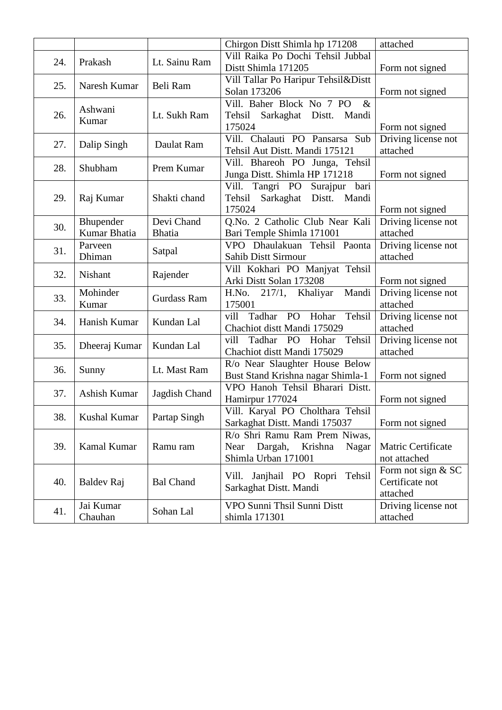|     |                |                  | Chirgon Distt Shimla hp 171208          | attached            |
|-----|----------------|------------------|-----------------------------------------|---------------------|
| 24. | Prakash        | Lt. Sainu Ram    | Vill Raika Po Dochi Tehsil Jubbal       |                     |
|     |                |                  | Distt Shimla 171205                     | Form not signed     |
| 25. | Naresh Kumar   | Beli Ram         | Vill Tallar Po Haripur Tehsil&Distt     |                     |
|     |                |                  | Solan 173206                            | Form not signed     |
|     | Ashwani        |                  | Vill. Baher Block No 7 PO<br>$\&$       |                     |
| 26. | Kumar          | Lt. Sukh Ram     | Tehsil<br>Sarkaghat Distt.<br>Mandi     |                     |
|     |                |                  | 175024                                  | Form not signed     |
| 27. | Dalip Singh    | Daulat Ram       | Vill. Chalauti PO Pansarsa Sub          | Driving license not |
|     |                |                  | Tehsil Aut Distt. Mandi 175121          | attached            |
| 28. | Shubham        | Prem Kumar       | Vill. Bhareoh PO Junga, Tehsil          |                     |
|     |                |                  | Junga Distt. Shimla HP 171218           | Form not signed     |
|     |                |                  | Surajpur bari<br>Tangri PO<br>Vill.     |                     |
| 29. | Raj Kumar      | Shakti chand     | Tehsil<br>Sarkaghat<br>Distt.<br>Mandi  |                     |
|     |                |                  | 175024                                  | Form not signed     |
| 30. | Bhupender      | Devi Chand       | Q.No. 2 Catholic Club Near Kali         | Driving license not |
|     | Kumar Bhatia   | <b>Bhatia</b>    | Bari Temple Shimla 171001               | attached            |
| 31. | Parveen        | Satpal           | VPO Dhaulakuan Tehsil Paonta            | Driving license not |
|     | Dhiman         |                  | Sahib Distt Sirmour                     | attached            |
| 32. | <b>Nishant</b> | Rajender         | Vill Kokhari PO Manjyat Tehsil          |                     |
|     |                |                  | Arki Distt Solan 173208                 | Form not signed     |
| 33. | Mohinder       | Gurdass Ram      | Mandi<br>H.No. 217/1, Khaliyar          | Driving license not |
|     | Kumar          |                  | 175001                                  | attached            |
| 34. | Hanish Kumar   | Kundan Lal       | Tadhar PO Hohar<br>Tehsil<br>vill       | Driving license not |
|     |                |                  | Chachiot distt Mandi 175029             | attached            |
| 35. | Dheeraj Kumar  | Kundan Lal       | Tadhar<br>vill<br>PO<br>Hohar<br>Tehsil | Driving license not |
|     |                |                  | Chachiot distt Mandi 175029             | attached            |
| 36. | Sunny          | Lt. Mast Ram     | R/o Near Slaughter House Below          |                     |
|     |                |                  | Bust Stand Krishna nagar Shimla-1       | Form not signed     |
| 37. | Ashish Kumar   | Jagdish Chand    | VPO Hanoh Tehsil Bharari Distt.         |                     |
|     |                |                  | Hamirpur 177024                         | Form not signed     |
| 38. | Kushal Kumar   | Partap Singh     | Vill. Karyal PO Cholthara Tehsil        |                     |
|     |                |                  | Sarkaghat Distt. Mandi 175037           | Form not signed     |
|     |                |                  | R/o Shri Ramu Ram Prem Niwas,           |                     |
| 39. | Kamal Kumar    | Ramu ram         | Near<br>Dargah,<br>Krishna<br>Nagar     | Matric Certificate  |
|     |                |                  | Shimla Urban 171001                     | not attached        |
|     |                |                  | Janjhail PO Ropri Tehsil<br>Vill.       | Form not sign $&SC$ |
| 40. | Baldev Raj     | <b>Bal Chand</b> | Sarkaghat Distt. Mandi                  | Certificate not     |
|     |                |                  |                                         | attached            |
| 41. | Jai Kumar      | Sohan Lal        | VPO Sunni Thsil Sunni Distt             | Driving license not |
|     | Chauhan        |                  | shimla 171301                           | attached            |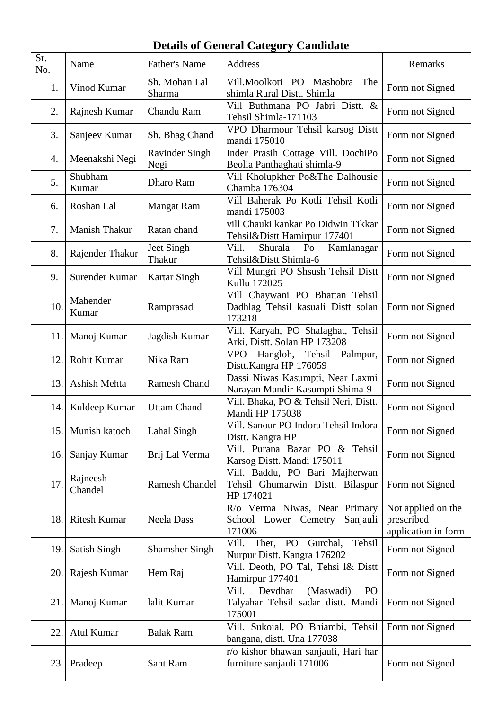| <b>Details of General Category Candidate</b> |                     |                               |                                                                                     |                                                         |  |
|----------------------------------------------|---------------------|-------------------------------|-------------------------------------------------------------------------------------|---------------------------------------------------------|--|
| Sr.<br>No.                                   | Name                | <b>Father's Name</b>          | Address                                                                             | Remarks                                                 |  |
| 1.                                           | Vinod Kumar         | Sh. Mohan Lal<br>Sharma       | Vill.Moolkoti PO Mashobra<br>The<br>shimla Rural Distt. Shimla                      | Form not Signed                                         |  |
| 2.                                           | Rajnesh Kumar       | Chandu Ram                    | Vill Buthmana PO Jabri Distt. &<br>Tehsil Shimla-171103                             | Form not Signed                                         |  |
| 3.                                           | Sanjeev Kumar       | Sh. Bhag Chand                | VPO Dharmour Tehsil karsog Distt<br>mandi 175010                                    | Form not Signed                                         |  |
| 4.                                           | Meenakshi Negi      | <b>Ravinder Singh</b><br>Negi | Inder Prasih Cottage Vill. DochiPo<br>Beolia Panthaghati shimla-9                   | Form not Signed                                         |  |
| 5.                                           | Shubham<br>Kumar    | Dharo Ram                     | Vill Kholupkher Po&The Dalhousie<br>Chamba 176304                                   | Form not Signed                                         |  |
| 6.                                           | Roshan Lal          | <b>Mangat Ram</b>             | Vill Baherak Po Kotli Tehsil Kotli<br>mandi 175003                                  | Form not Signed                                         |  |
| 7.                                           | Manish Thakur       | Ratan chand                   | vill Chauki kankar Po Didwin Tikkar<br>Tehsil&Distt Hamirpur 177401                 | Form not Signed                                         |  |
| 8.                                           | Rajender Thakur     | Jeet Singh<br>Thakur          | Shurala<br>Vill.<br>P <sub>O</sub><br>Kamlanagar<br>Tehsil&Distt Shimla-6           | Form not Signed                                         |  |
| 9.                                           | Surender Kumar      | <b>Kartar Singh</b>           | Vill Mungri PO Shsush Tehsil Distt<br>Kullu 172025                                  | Form not Signed                                         |  |
| 10.                                          | Mahender<br>Kumar   | Ramprasad                     | Vill Chaywani PO Bhattan Tehsil<br>Dadhlag Tehsil kasuali Distt solan<br>173218     | Form not Signed                                         |  |
| 11.                                          | Manoj Kumar         | Jagdish Kumar                 | Vill. Karyah, PO Shalaghat, Tehsil<br>Arki, Distt. Solan HP 173208                  | Form not Signed                                         |  |
| 12.                                          | Rohit Kumar         | Nika Ram                      | <b>VPO</b><br>Tehsil<br>Hangloh,<br>Palmpur,<br>Distt.Kangra HP 176059              | Form not Signed                                         |  |
| 13.                                          | Ashish Mehta        | <b>Ramesh Chand</b>           | Dassi Niwas Kasumpti, Near Laxmi<br>Narayan Mandir Kasumpti Shima-9                 | Form not Signed                                         |  |
| 14.                                          | Kuldeep Kumar       | <b>Uttam Chand</b>            | Vill. Bhaka, PO & Tehsil Neri, Distt.<br>Mandi HP 175038                            | Form not Signed                                         |  |
| 15.                                          | Munish katoch       | Lahal Singh                   | Vill. Sanour PO Indora Tehsil Indora<br>Distt. Kangra HP                            | Form not Signed                                         |  |
| 16.                                          | Sanjay Kumar        | Brij Lal Verma                | Vill. Purana Bazar PO & Tehsil<br>Karsog Distt. Mandi 175011                        | Form not Signed                                         |  |
| 17.                                          | Rajneesh<br>Chandel | <b>Ramesh Chandel</b>         | Vill. Baddu, PO Bari Majherwan<br>Tehsil Ghumarwin Distt. Bilaspur<br>HP 174021     | Form not Signed                                         |  |
| 18.                                          | <b>Ritesh Kumar</b> | <b>Neela Dass</b>             | R/o Verma Niwas, Near Primary<br>School Lower Cemetry<br>Sanjauli<br>171006         | Not applied on the<br>prescribed<br>application in form |  |
| 19.                                          | Satish Singh        | <b>Shamsher Singh</b>         | Tehsil<br>Vill. Ther, PO Gurchal,<br>Nurpur Distt. Kangra 176202                    | Form not Signed                                         |  |
| 20.                                          | Rajesh Kumar        | Hem Raj                       | Vill. Deoth, PO Tal, Tehsi l& Distt<br>Hamirpur 177401                              | Form not Signed                                         |  |
| 21.                                          | Manoj Kumar         | lalit Kumar                   | Vill.<br>Devdhar<br>(Maswadi)<br>PO<br>Talyahar Tehsil sadar distt. Mandi<br>175001 | Form not Signed                                         |  |
| 22.                                          | Atul Kumar          | <b>Balak Ram</b>              | Vill. Sukoial, PO Bhiambi, Tehsil<br>bangana, distt. Una 177038                     | Form not Signed                                         |  |
| 23.                                          | Pradeep             | Sant Ram                      | r/o kishor bhawan sanjauli, Hari har<br>furniture sanjauli 171006                   | Form not Signed                                         |  |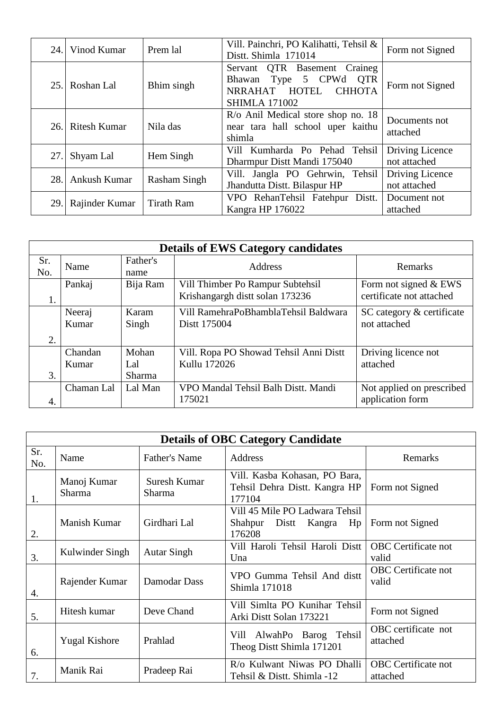| 24. | Vinod Kumar         | Prem lal            | Vill. Painchri, PO Kalihatti, Tehsil &<br>Distt. Shimla 171014                                                   | Form not Signed                 |
|-----|---------------------|---------------------|------------------------------------------------------------------------------------------------------------------|---------------------------------|
| 25. | Roshan Lal          | Bhim singh          | Servant QTR Basement Craineg<br>Bhawan Type 5 CPWd QTR<br>NRRAHAT HOTEL<br><b>CHHOTA</b><br><b>SHIMLA 171002</b> | Form not Signed                 |
| 26. | <b>Ritesh Kumar</b> | Nila das            | R/o Anil Medical store shop no. 18<br>near tara hall school uper kaithu<br>shimla                                | Documents not<br>attached       |
| 27. | Shyam Lal           | Hem Singh           | Vill Kumharda Po Pehad Tehsil<br>Dharmpur Distt Mandi 175040                                                     | Driving Licence<br>not attached |
| 28. | Ankush Kumar        | <b>Rasham Singh</b> | Vill. Jangla PO Gehrwin, Tehsil<br>Jhandutta Distt. Bilaspur HP                                                  | Driving Licence<br>not attached |
| 29. | Rajinder Kumar      | <b>Tirath Ram</b>   | VPO RehanTehsil Fatehpur Distt.<br>Kangra HP 176022                                                              | Document not<br>attached        |

| <b>Details of EWS Category candidates</b> |                 |                  |                                                                     |                                                   |  |  |
|-------------------------------------------|-----------------|------------------|---------------------------------------------------------------------|---------------------------------------------------|--|--|
| Sr.<br>No.                                | Name            | Father's<br>name | Address                                                             | Remarks                                           |  |  |
| 1.                                        | Pankaj          | Bija Ram         | Vill Thimber Po Rampur Subtehsil<br>Krishangargh distt solan 173236 | Form not signed & EWS<br>certificate not attached |  |  |
|                                           | Neeraj<br>Kumar | Karam<br>Singh   | Vill RamehraPoBhamblaTehsil Baldwara<br>Distt 175004                | SC category & certificate<br>not attached         |  |  |
| 2.                                        |                 |                  |                                                                     |                                                   |  |  |
|                                           | Chandan         | Mohan            | Vill. Ropa PO Showad Tehsil Anni Distt                              | Driving licence not                               |  |  |
|                                           | Kumar           | Lal              | Kullu 172026                                                        | attached                                          |  |  |
| 3.                                        |                 | Sharma           |                                                                     |                                                   |  |  |
|                                           | Chaman Lal      | Lal Man          | VPO Mandal Tehsil Balh Distt. Mandi<br>175021                       | Not applied on prescribed<br>application form     |  |  |
| 4.                                        |                 |                  |                                                                     |                                                   |  |  |

| <b>Details of OBC Category Candidate</b> |                       |                        |                                                                           |                                        |
|------------------------------------------|-----------------------|------------------------|---------------------------------------------------------------------------|----------------------------------------|
| Sr.<br>No.                               | Name                  | <b>Father's Name</b>   | Address                                                                   | Remarks                                |
| 1.                                       | Manoj Kumar<br>Sharma | Suresh Kumar<br>Sharma | Vill. Kasba Kohasan, PO Bara,<br>Tehsil Dehra Distt. Kangra HP<br>177104  | Form not Signed                        |
| 2.                                       | Manish Kumar          | Girdhari Lal           | Vill 45 Mile PO Ladwara Tehsil<br>Shahpur<br>Distt Kangra<br>Hp<br>176208 | Form not Signed                        |
| 3.                                       | Kulwinder Singh       | <b>Autar Singh</b>     | Vill Haroli Tehsil Haroli Distt<br>Una                                    | OBC Certificate not<br>valid           |
| 4.                                       | Rajender Kumar        | Damodar Dass           | VPO Gumma Tehsil And distt<br>Shimla 171018                               | <b>OBC</b> Certificate not<br>valid    |
| 5.                                       | Hitesh kumar          | Deve Chand             | Vill Simlta PO Kunihar Tehsil<br>Arki Distt Solan 173221                  | Form not Signed                        |
| 6.                                       | <b>Yugal Kishore</b>  | Prahlad                | AlwahPo Barog Tehsil<br>Vill<br>Theog Distt Shimla 171201                 | OBC certificate not<br>attached        |
| 7.                                       | Manik Rai             | Pradeep Rai            | R/o Kulwant Niwas PO Dhalli<br>Tehsil & Distt. Shimla -12                 | <b>OBC</b> Certificate not<br>attached |